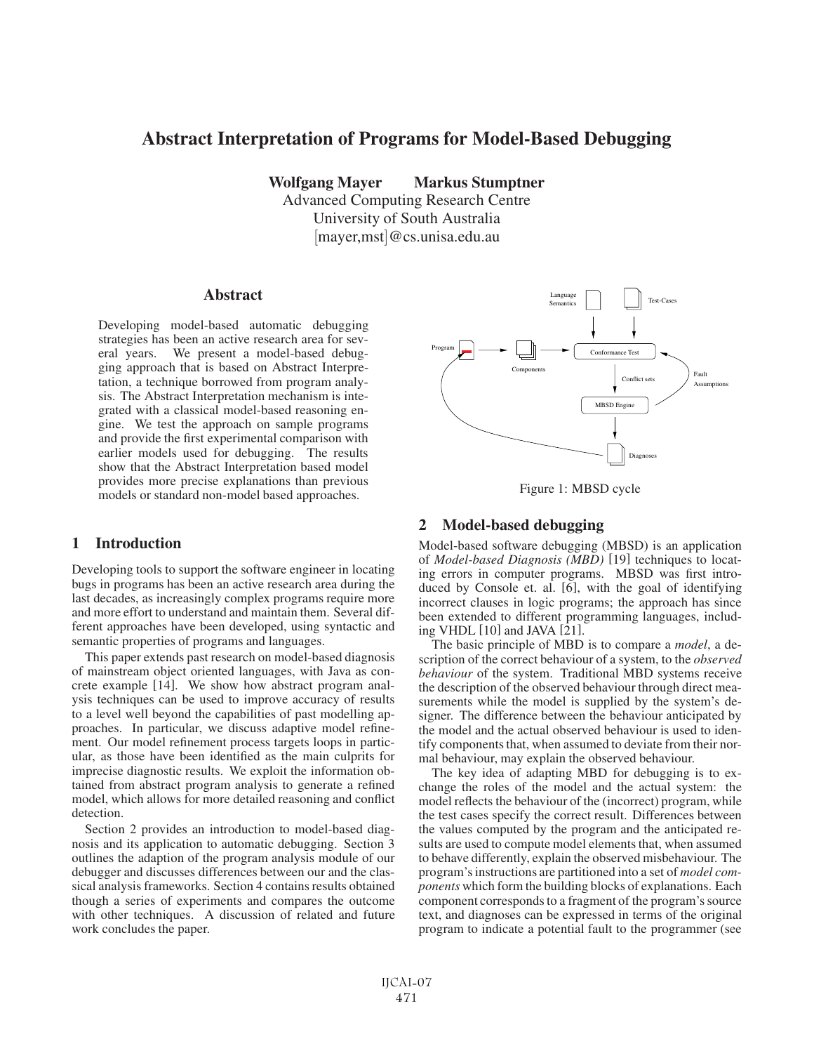# Abstract Interpretation of Programs for Model-Based Debugging

Wolfgang Mayer Markus Stumptner

Advanced Computing Research Centre University of South Australia [mayer,mst]@cs.unisa.edu.au

#### Abstract

Developing model-based automatic debugging strategies has been an active research area for several years. We present a model-based debugging approach that is based on Abstract Interpretation, a technique borrowed from program analysis. The Abstract Interpretation mechanism is integrated with a classical model-based reasoning engine. We test the approach on sample programs and provide the first experimental comparison with earlier models used for debugging. The results show that the Abstract Interpretation based model provides more precise explanations than previous models or standard non-model based approaches.

## 1 Introduction

Developing tools to support the software engineer in locating bugs in programs has been an active research area during the last decades, as increasingly complex programs require more and more effort to understand and maintain them. Several different approaches have been developed, using syntactic and semantic properties of programs and languages.

This paper extends past research on model-based diagnosis of mainstream object oriented languages, with Java as concrete example [14]. We show how abstract program analysis techniques can be used to improve accuracy of results to a level well beyond the capabilities of past modelling approaches. In particular, we discuss adaptive model refinement. Our model refinement process targets loops in particular, as those have been identified as the main culprits for imprecise diagnostic results. We exploit the information obtained from abstract program analysis to generate a refined model, which allows for more detailed reasoning and conflict detection.

Section 2 provides an introduction to model-based diagnosis and its application to automatic debugging. Section 3 outlines the adaption of the program analysis module of our debugger and discusses differences between our and the classical analysis frameworks. Section 4 contains results obtained though a series of experiments and compares the outcome with other techniques. A discussion of related and future work concludes the paper.



Figure 1: MBSD cycle

## 2 Model-based debugging

Model-based software debugging (MBSD) is an application of *Model-based Diagnosis (MBD)* [19] techniques to locating errors in computer programs. MBSD was first introduced by Console et. al. [6], with the goal of identifying incorrect clauses in logic programs; the approach has since been extended to different programming languages, including VHDL [10] and JAVA [21].

The basic principle of MBD is to compare a *model*, a description of the correct behaviour of a system, to the *observed behaviour* of the system. Traditional MBD systems receive the description of the observed behaviour through direct measurements while the model is supplied by the system's designer. The difference between the behaviour anticipated by the model and the actual observed behaviour is used to identify components that, when assumed to deviate from their normal behaviour, may explain the observed behaviour.

The key idea of adapting MBD for debugging is to exchange the roles of the model and the actual system: the model reflects the behaviour of the (incorrect) program, while the test cases specify the correct result. Differences between the values computed by the program and the anticipated results are used to compute model elements that, when assumed to behave differently, explain the observed misbehaviour. The program's instructions are partitioned into a set of *model components* which form the building blocks of explanations. Each component corresponds to a fragment of the program's source text, and diagnoses can be expressed in terms of the original program to indicate a potential fault to the programmer (see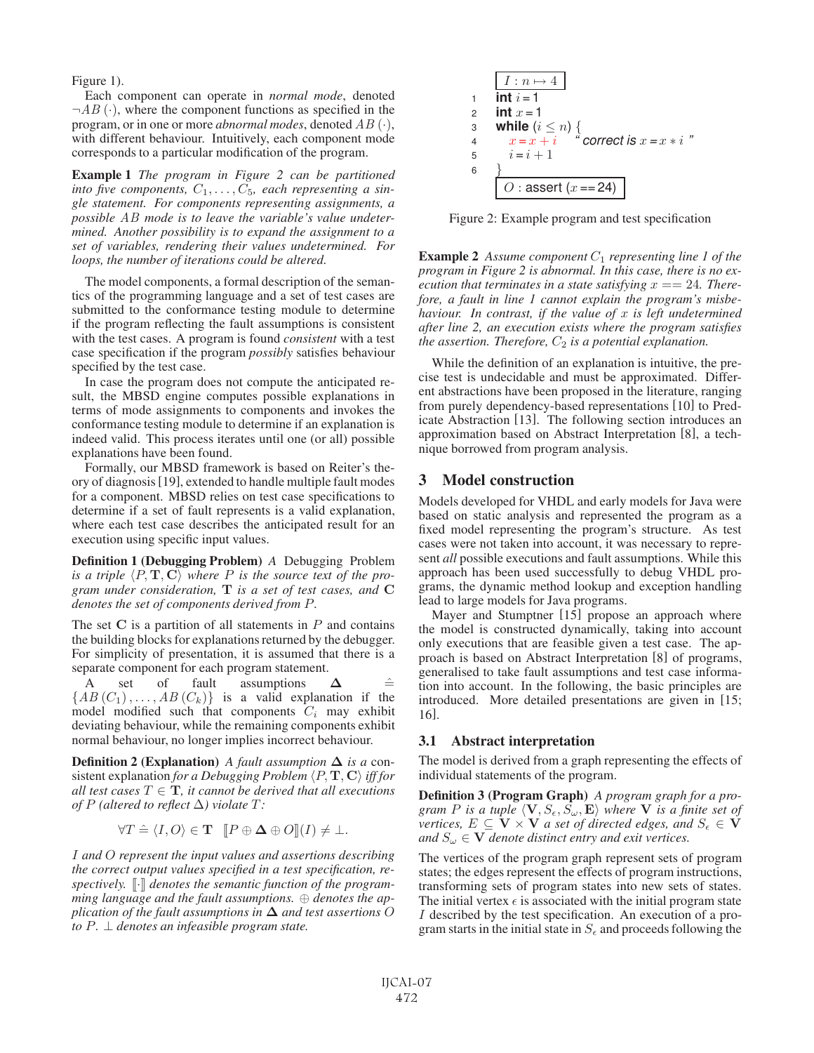Figure 1).

Each component can operate in *normal mode*, denoted  $\neg AB$  ( $\cdot$ ), where the component functions as specified in the program, or in one or more *abnormal modes*, denoted AB (·), with different behaviour. Intuitively, each component mode corresponds to a particular modification of the program.

Example 1 *The program in Figure 2 can be partitioned* into five components,  $C_1, \ldots, C_5$ , each representing a sin*gle statement. For components representing assignments, a possible* AB *mode is to leave the variable's value undetermined. Another possibility is to expand the assignment to a set of variables, rendering their values undetermined. For loops, the number of iterations could be altered.*

The model components, a formal description of the semantics of the programming language and a set of test cases are submitted to the conformance testing module to determine if the program reflecting the fault assumptions is consistent with the test cases. A program is found *consistent* with a test case specification if the program *possibly* satisfies behaviour specified by the test case.

In case the program does not compute the anticipated result, the MBSD engine computes possible explanations in terms of mode assignments to components and invokes the conformance testing module to determine if an explanation is indeed valid. This process iterates until one (or all) possible explanations have been found.

Formally, our MBSD framework is based on Reiter's theory of diagnosis[19], extended to handle multiple fault modes for a component. MBSD relies on test case specifications to determine if a set of fault represents is a valid explanation, where each test case describes the anticipated result for an execution using specific input values.

Definition 1 (Debugging Problem) *A* Debugging Problem is a triple  $\langle P, \mathbf{T}, \mathbf{C} \rangle$  where P is the source text of the pro*gram under consideration,* **T** *is a set of test cases, and* **C** *denotes the set of components derived from* P*.*

The set  $C$  is a partition of all statements in  $P$  and contains the building blocks for explanations returned by the debugger. For simplicity of presentation, it is assumed that there is a separate component for each program statement.

A set of fault assumptions  $\Delta$   $\cong$  ${AB(C_1),...,AB(C_k)}$  is a valid explanation if the model modified such that components  $C_i$  may exhibit deviating behaviour, while the remaining components exhibit normal behaviour, no longer implies incorrect behaviour.

**Definition 2 (Explanation)** A fault assumption  $\Delta$  is a con $s$  istent explanation *for a Debugging Problem*  $\langle P, T, C \rangle$  *iff for all test cases*  $T \in \mathbf{T}$ *, it cannot be derived that all executions of*  $P$  (altered to reflect  $\Delta$ ) violate  $T$ *:* 

$$
\forall T \hat{=} \langle I, O \rangle \in \mathbf{T} \quad [P \oplus \Delta \oplus O](I) \neq \bot.
$$

I *and* O *represent the input values and assertions describing the correct output values specified in a test specification, re*spectively.  $\lbrack \cdot \rbrack$  denotes the semantic function of the program*ming language and the fault assumptions.* ⊕ *denotes the application of the fault assumptions in* **Δ** *and test assertions* O *to* P*.* ⊥ *denotes an infeasible program state.*



Figure 2: Example program and test specification

**Example 2** Assume component  $C_1$  representing line 1 of the *program in Figure 2 is abnormal. In this case, there is no execution that terminates in a state satisfying*  $x == 24$ *. Therefore, a fault in line 1 cannot explain the program's misbehaviour. In contrast, if the value of* x *is left undetermined after line 2, an execution exists where the program satisfies the assertion. Therefore,*  $C_2$  *is a potential explanation.* 

While the definition of an explanation is intuitive, the precise test is undecidable and must be approximated. Different abstractions have been proposed in the literature, ranging from purely dependency-based representations [10] to Predicate Abstraction [13]. The following section introduces an approximation based on Abstract Interpretation [8], a technique borrowed from program analysis.

## 3 Model construction

Models developed for VHDL and early models for Java were based on static analysis and represented the program as a fixed model representing the program's structure. As test cases were not taken into account, it was necessary to represent *all* possible executions and fault assumptions. While this approach has been used successfully to debug VHDL programs, the dynamic method lookup and exception handling lead to large models for Java programs.

Mayer and Stumptner [15] propose an approach where the model is constructed dynamically, taking into account only executions that are feasible given a test case. The approach is based on Abstract Interpretation [8] of programs, generalised to take fault assumptions and test case information into account. In the following, the basic principles are introduced. More detailed presentations are given in [15; 16].

#### 3.1 Abstract interpretation

The model is derived from a graph representing the effects of individual statements of the program.

Definition 3 (Program Graph) *A program graph for a pro* $g$ ram P is a tuple  $\langle \mathbf{V}, S_{\epsilon}, \hat{S_{\omega}}, \mathbf{E} \rangle$  where **V** is a finite set of  $\overline{v}$  *ertices,*  $E \subseteq \overline{V} \times \overline{V}$  *a set of directed edges, and*  $S_{\epsilon} \in \overline{V}$ *and*  $S_\omega \in \mathbf{V}$  *denote distinct entry and exit vertices.* 

The vertices of the program graph represent sets of program states; the edges represent the effects of program instructions, transforming sets of program states into new sets of states. The initial vertex  $\epsilon$  is associated with the initial program state I described by the test specification. An execution of a program starts in the initial state in  $S_{\epsilon}$  and proceeds following the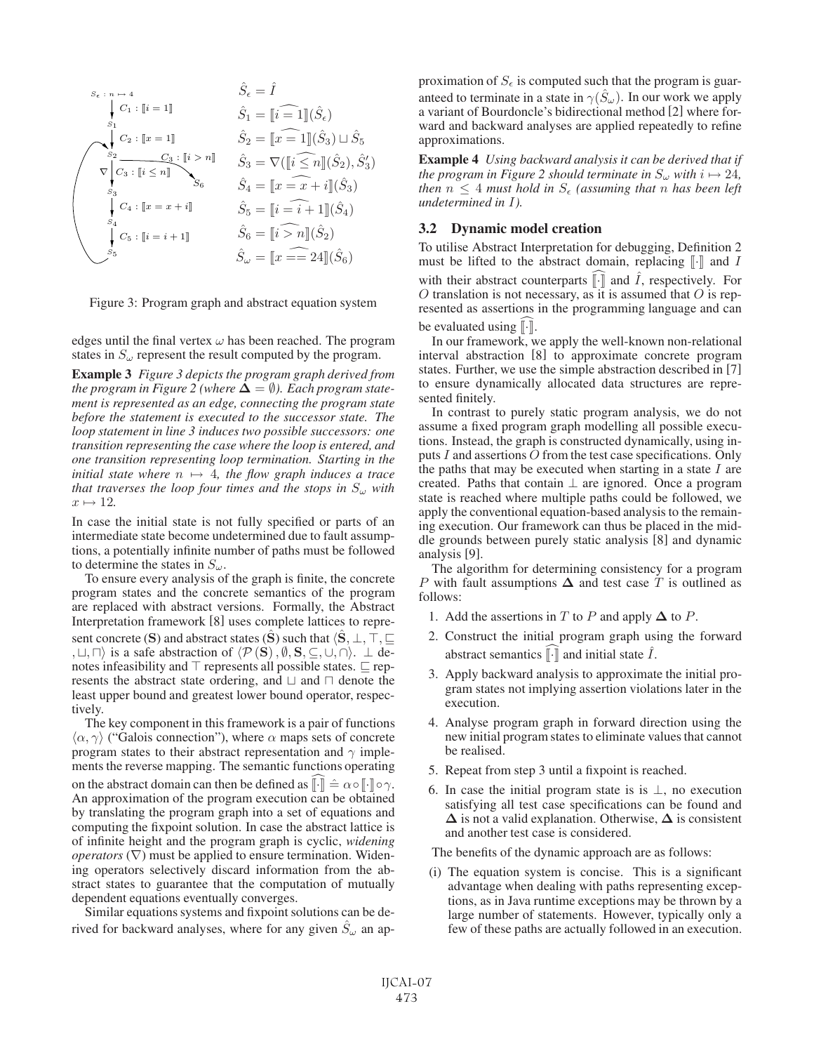$$
\hat{S}_{\epsilon} = \hat{I}
$$
\n
$$
\downarrow \quad \hat{S}_{1}
$$
\n
$$
\downarrow \quad \hat{S}_{1}
$$
\n
$$
\downarrow \quad \hat{S}_{2} = \hat{I} \quad \hat{S}_{1} = \hat{I} \quad \hat{S}_{2} = \hat{I} \quad \hat{S}_{1} = \hat{I} \quad \hat{S}_{2}
$$
\n
$$
\downarrow \quad \hat{S}_{2} = \hat{I} \quad \hat{S}_{2} = \hat{I} \quad \hat{I} \quad \hat{S}_{3} \cup \hat{S}_{5}
$$
\n
$$
\downarrow \quad \hat{S}_{3} = \nabla (\hat{I} \times \hat{I} \times \hat{I} \times \hat{S}_{3})
$$
\n
$$
\downarrow \quad \hat{S}_{3} = \nabla (\hat{I} \times \hat{I} \times \hat{I} \times \hat{S}_{3})
$$
\n
$$
\downarrow \quad \hat{S}_{4} = \hat{I} \quad \hat{S}_{5} = \hat{I} \quad \hat{I} \quad \hat{I} \quad \hat{S}_{6}
$$
\n
$$
\hat{S}_{5} = \hat{I} \quad \hat{I} \quad \hat{I} \quad \hat{S}_{4}
$$
\n
$$
\downarrow \quad \hat{S}_{5} \quad \hat{S}_{5} = \hat{I} \quad \hat{I} \quad \hat{I} \quad \hat{S}_{6}
$$
\n
$$
\hat{S}_{5} = \hat{I} \quad \hat{I} \quad \hat{I} \quad \hat{S}_{6}
$$
\n
$$
\hat{S}_{6} = \hat{I} \quad \hat{I} \quad \hat{I} \quad \hat{S}_{6}
$$
\n
$$
\downarrow \quad \hat{S}_{6} = \hat{I} \quad \hat{I} \quad \hat{I} \quad \hat{S}_{2}
$$
\n
$$
\downarrow \quad \hat{S}_{5} = \hat{I} \quad \hat{I} \quad \hat{I} \quad \hat{S}_{6}
$$
\n
$$
\hat{S}_{6} = \hat{I} \quad \hat{I} \quad \hat{I} \quad \hat{S}_{6}
$$
\n
$$
\hat{S}_{6} = \hat{I} \quad \hat{I} \quad \hat{I} \quad \hat{S}_{6}
$$
\n
$$
\hat{S
$$

Figure 3: Program graph and abstract equation system

edges until the final vertex  $\omega$  has been reached. The program states in  $S_{\omega}$  represent the result computed by the program.

Example 3 *Figure 3 depicts the program graph derived from the program in Figure 2 (where*  $\Delta = \emptyset$ ). *Each program statement is represented as an edge, connecting the program state before the statement is executed to the successor state. The loop statement in line 3 induces two possible successors: one transition representing the case where the loop is entered, and one transition representing loop termination. Starting in the initial state where*  $n \mapsto 4$ *, the flow graph induces a trace that traverses the loop four times and the stops in*  $S_{\omega}$  *with*  $x \mapsto 12$ .

In case the initial state is not fully specified or parts of an intermediate state become undetermined due to fault assumptions, a potentially infinite number of paths must be followed to determine the states in  $S_{\omega}$ .

To ensure every analysis of the graph is finite, the concrete program states and the concrete semantics of the program are replaced with abstract versions. Formally, the Abstract Interpretation framework [8] uses complete lattices to represent concrete (**S**) and abstract states ( $\hat{\mathbf{S}}$ ) such that  $\langle \hat{\mathbf{S}}, \bot, \top, \sqsubseteq$ ,  $\Box$ ,  $\Box$ ) is a safe abstraction of  $\langle \mathcal{P}(\hat{\mathbf{S}}), \emptyset, \mathbf{S}, \subseteq, \cup, \cap \rangle$ . ⊥ denotes infeasibility and  $\top$  represents all possible states.  $\sqsubset$  represents the abstract state ordering, and  $\Box$  and  $\Box$  denote the least upper bound and greatest lower bound operator, respectively.

The key component in this framework is a pair of functions  $\langle \alpha, \gamma \rangle$  ("Galois connection"), where  $\alpha$  maps sets of concrete program states to their abstract representation and  $\gamma$  implements the reverse mapping. The semantic functions operating on the abstract domain can then be defined as  $\lbrack \cdot \rbrack \rbrack \rbrack = \alpha \circ \lbrack \cdot \rbrack \rbrack \circ \gamma$ . An approximation of the program execution can be obtained by translating the program graph into a set of equations and computing the fixpoint solution. In case the abstract lattice is of infinite height and the program graph is cyclic, *widening operators*  $(\nabla)$  must be applied to ensure termination. Widening operators selectively discard information from the abstract states to guarantee that the computation of mutually dependent equations eventually converges.

Similar equations systems and fixpoint solutions can be derived for backward analyses, where for any given  $S_{\omega}$  an ap-

proximation of  $S_{\epsilon}$  is computed such that the program is guaranteed to terminate in a state in  $\gamma(S_\omega)$ . In our work we apply a variant of Bourdoncle's bidirectional method [2] where forward and backward analyses are applied repeatedly to refine approximations.

Example 4 *Using backward analysis it can be derived that if the program in Figure 2 should terminate in*  $S_{\omega}$  *with*  $i \mapsto 24$ *, then*  $n \leq 4$  *must hold in*  $S_{\epsilon}$  *(assuming that n has been left undetermined in* I*).*

#### 3.2 Dynamic model creation

To utilise Abstract Interpretation for debugging, Definition 2 must be lifted to the abstract domain, replacing  $\lbrack \cdot \rbrack$  and I with their abstract counterparts  $\lbrack \cdot \rbrack$  and  $\hat{I}$ , respectively. For  $O$  translation is not necessary, as it is assumed that  $O$  is represented as assertions in the programming language and can be evaluated using  $\lbrack \cdot \rbrack$ .

In our framework, we apply the well-known non-relational interval abstraction [8] to approximate concrete program states. Further, we use the simple abstraction described in [7] to ensure dynamically allocated data structures are represented finitely.

In contrast to purely static program analysis, we do not assume a fixed program graph modelling all possible executions. Instead, the graph is constructed dynamically, using inputs I and assertions O from the test case specifications. Only the paths that may be executed when starting in a state  $I$  are created. Paths that contain  $\perp$  are ignored. Once a program state is reached where multiple paths could be followed, we apply the conventional equation-based analysis to the remaining execution. Our framework can thus be placed in the middle grounds between purely static analysis [8] and dynamic analysis [9].

The algorithm for determining consistency for a program P with fault assumptions  $\Delta$  and test case T is outlined as follows:

- 1. Add the assertions in T to P and apply  $\Delta$  to P.
- 2. Construct the initial program graph using the forward abstract semantics  $\lbrack \cdot \rbrack$  and initial state  $\ddot{I}$ .
- 3. Apply backward analysis to approximate the initial program states not implying assertion violations later in the execution.
- 4. Analyse program graph in forward direction using the new initial program states to eliminate values that cannot be realised.
- 5. Repeat from step 3 until a fixpoint is reached.
- 6. In case the initial program state is is  $\perp$ , no execution satisfying all test case specifications can be found and **Δ** is not a valid explanation. Otherwise, **Δ** is consistent and another test case is considered.
- The benefits of the dynamic approach are as follows:
- (i) The equation system is concise. This is a significant advantage when dealing with paths representing exceptions, as in Java runtime exceptions may be thrown by a large number of statements. However, typically only a few of these paths are actually followed in an execution.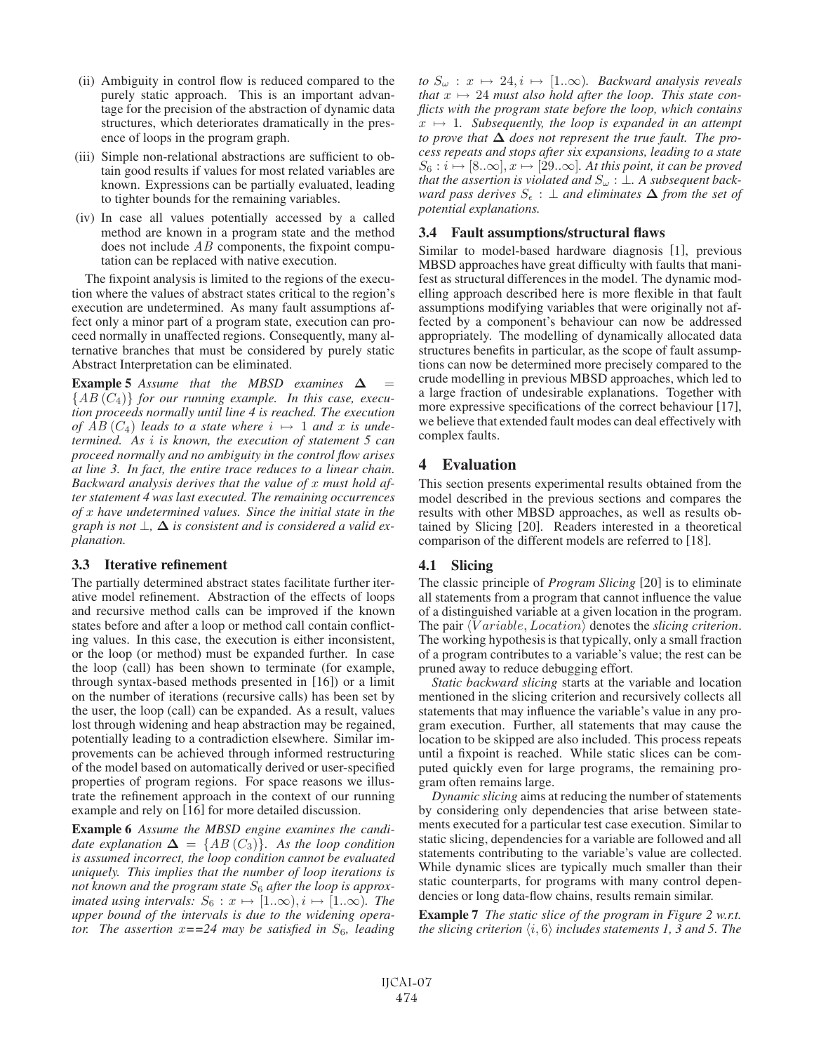- (ii) Ambiguity in control flow is reduced compared to the purely static approach. This is an important advantage for the precision of the abstraction of dynamic data structures, which deteriorates dramatically in the presence of loops in the program graph.
- (iii) Simple non-relational abstractions are sufficient to obtain good results if values for most related variables are known. Expressions can be partially evaluated, leading to tighter bounds for the remaining variables.
- (iv) In case all values potentially accessed by a called method are known in a program state and the method does not include  $AB$  components, the fixpoint computation can be replaced with native execution.

The fixpoint analysis is limited to the regions of the execution where the values of abstract states critical to the region's execution are undetermined. As many fault assumptions affect only a minor part of a program state, execution can proceed normally in unaffected regions. Consequently, many alternative branches that must be considered by purely static Abstract Interpretation can be eliminated.

**Example 5** *Assume that the MBSD examines*  $\Delta$  = {AB (C4)} *for our running example. In this case, execution proceeds normally until line 4 is reached. The execution of*  $AB(C_4)$  *leads to a state where*  $i \mapsto 1$  *and* x *is undetermined. As* i *is known, the execution of statement 5 can proceed normally and no ambiguity in the control flow arises at line 3. In fact, the entire trace reduces to a linear chain. Backward analysis derives that the value of* x *must hold after statement 4 was last executed. The remaining occurrences of* x *have undetermined values. Since the initial state in the graph is not*  $\perp$ ,  $\Delta$  *is consistent and is considered a valid explanation.*

### 3.3 Iterative refinement

The partially determined abstract states facilitate further iterative model refinement. Abstraction of the effects of loops and recursive method calls can be improved if the known states before and after a loop or method call contain conflicting values. In this case, the execution is either inconsistent, or the loop (or method) must be expanded further. In case the loop (call) has been shown to terminate (for example, through syntax-based methods presented in [16]) or a limit on the number of iterations (recursive calls) has been set by the user, the loop (call) can be expanded. As a result, values lost through widening and heap abstraction may be regained, potentially leading to a contradiction elsewhere. Similar improvements can be achieved through informed restructuring of the model based on automatically derived or user-specified properties of program regions. For space reasons we illustrate the refinement approach in the context of our running example and rely on [16] for more detailed discussion.

Example 6 *Assume the MBSD engine examines the candidate explanation*  $\Delta = \{AB (C_3)\}.$  As the loop condition *is assumed incorrect, the loop condition cannot be evaluated uniquely. This implies that the number of loop iterations is* not known and the program state S<sub>6</sub> after the loop is approx*imated using intervals:*  $S_6 : x \mapsto [1..\infty), i \mapsto [1..\infty)$ *. The upper bound of the intervals is due to the widening operator.* The assertion  $x = 24$  may be satisfied in  $S_6$ , leading

*to*  $S_{\omega}$  :  $x \mapsto 24, i \mapsto [1..\infty)$ *. Backward analysis reveals that*  $x \mapsto 24$  *must also hold after the loop. This state conflicts with the program state before the loop, which contains*  $x \mapsto 1$ *. Subsequently, the loop is expanded in an attempt to prove that* **Δ** *does not represent the true fault. The process repeats and stops after six expansions, leading to a state*  $S_6: i \mapsto [8..\infty], x \mapsto [29..\infty]$ . At this point, it can be proved *that the assertion is violated and*  $S_{\omega}$  :  $\perp$ . A subsequent back- $\forall x$  ward pass derives  $S_{\epsilon} : \bot$  and eliminates  $\Delta$  from the set of *potential explanations.*

### 3.4 Fault assumptions/structural flaws

Similar to model-based hardware diagnosis [1], previous MBSD approaches have great difficulty with faults that manifest as structural differences in the model. The dynamic modelling approach described here is more flexible in that fault assumptions modifying variables that were originally not affected by a component's behaviour can now be addressed appropriately. The modelling of dynamically allocated data structures benefits in particular, as the scope of fault assumptions can now be determined more precisely compared to the crude modelling in previous MBSD approaches, which led to a large fraction of undesirable explanations. Together with more expressive specifications of the correct behaviour [17], we believe that extended fault modes can deal effectively with complex faults.

## 4 Evaluation

This section presents experimental results obtained from the model described in the previous sections and compares the results with other MBSD approaches, as well as results obtained by Slicing [20]. Readers interested in a theoretical comparison of the different models are referred to [18].

### 4.1 Slicing

The classic principle of *Program Slicing* [20] is to eliminate all statements from a program that cannot influence the value of a distinguished variable at a given location in the program. The pair  $\langle Variable, Location \rangle$  denotes the *slicing criterion*. The working hypothesis is that typically, only a small fraction of a program contributes to a variable's value; the rest can be pruned away to reduce debugging effort.

*Static backward slicing* starts at the variable and location mentioned in the slicing criterion and recursively collects all statements that may influence the variable's value in any program execution. Further, all statements that may cause the location to be skipped are also included. This process repeats until a fixpoint is reached. While static slices can be computed quickly even for large programs, the remaining program often remains large.

*Dynamic slicing* aims at reducing the number of statements by considering only dependencies that arise between statements executed for a particular test case execution. Similar to static slicing, dependencies for a variable are followed and all statements contributing to the variable's value are collected. While dynamic slices are typically much smaller than their static counterparts, for programs with many control dependencies or long data-flow chains, results remain similar.

Example 7 *The static slice of the program in Figure 2 w.r.t.* the slicing criterion  $\langle i,6\rangle$  includes statements 1, 3 and 5. The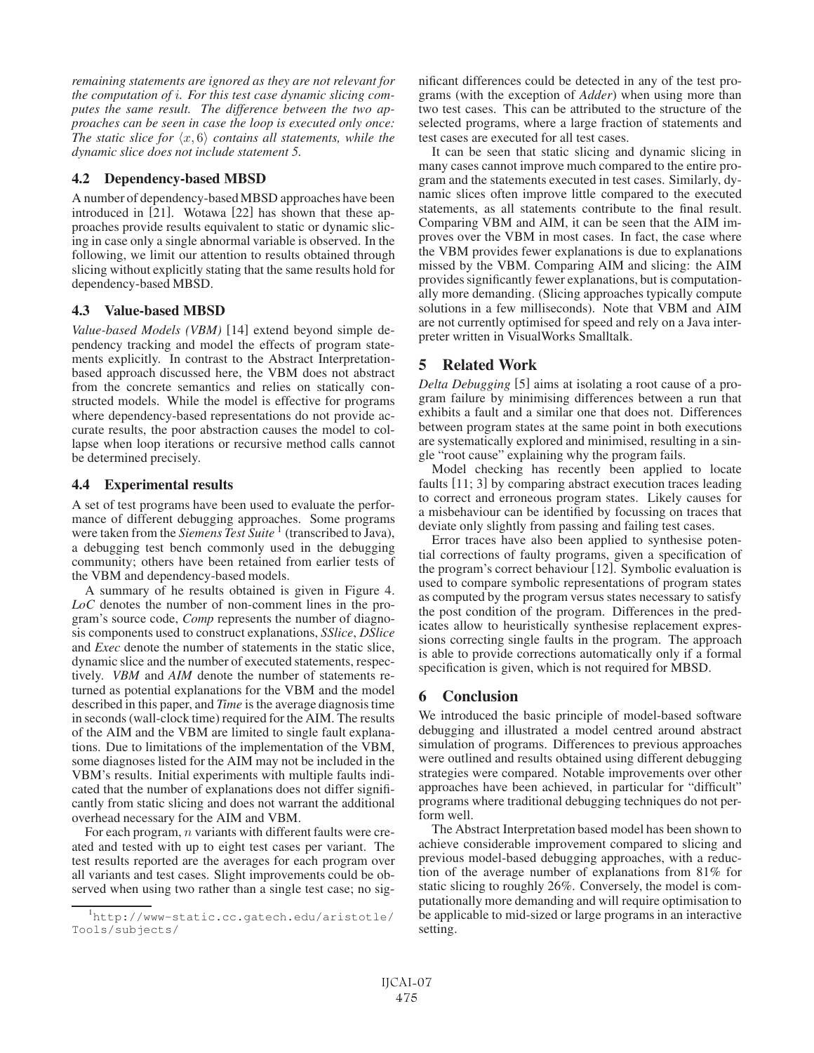*remaining statements are ignored as they are not relevant for the computation of* i*. For this test case dynamic slicing computes the same result. The difference between the two approaches can be seen in case the loop is executed only once:* The static slice for  $\langle x, 6 \rangle$  contains all statements, while the *dynamic slice does not include statement 5.*

## 4.2 Dependency-based MBSD

A number of dependency-basedMBSD approaches have been introduced in [21]. Wotawa [22] has shown that these approaches provide results equivalent to static or dynamic slicing in case only a single abnormal variable is observed. In the following, we limit our attention to results obtained through slicing without explicitly stating that the same results hold for dependency-based MBSD.

# 4.3 Value-based MBSD

*Value-based Models (VBM)* [14] extend beyond simple dependency tracking and model the effects of program statements explicitly. In contrast to the Abstract Interpretationbased approach discussed here, the VBM does not abstract from the concrete semantics and relies on statically constructed models. While the model is effective for programs where dependency-based representations do not provide accurate results, the poor abstraction causes the model to collapse when loop iterations or recursive method calls cannot be determined precisely.

# 4.4 Experimental results

A set of test programs have been used to evaluate the performance of different debugging approaches. Some programs were taken from the *Siemens Test Suite* <sup>1</sup> (transcribed to Java), a debugging test bench commonly used in the debugging community; others have been retained from earlier tests of the VBM and dependency-based models.

A summary of he results obtained is given in Figure 4. *LoC* denotes the number of non-comment lines in the program's source code, *Comp* represents the number of diagnosis components used to construct explanations, *SSlice*, *DSlice* and *Exec* denote the number of statements in the static slice, dynamic slice and the number of executed statements, respectively. *VBM* and *AIM* denote the number of statements returned as potential explanations for the VBM and the model described in this paper, and *Time* is the average diagnosis time in seconds (wall-clock time) required for the AIM. The results of the AIM and the VBM are limited to single fault explanations. Due to limitations of the implementation of the VBM, some diagnoses listed for the AIM may not be included in the VBM's results. Initial experiments with multiple faults indicated that the number of explanations does not differ significantly from static slicing and does not warrant the additional overhead necessary for the AIM and VBM.

For each program,  $n$  variants with different faults were created and tested with up to eight test cases per variant. The test results reported are the averages for each program over all variants and test cases. Slight improvements could be observed when using two rather than a single test case; no significant differences could be detected in any of the test programs (with the exception of *Adder*) when using more than two test cases. This can be attributed to the structure of the selected programs, where a large fraction of statements and test cases are executed for all test cases.

It can be seen that static slicing and dynamic slicing in many cases cannot improve much compared to the entire program and the statements executed in test cases. Similarly, dynamic slices often improve little compared to the executed statements, as all statements contribute to the final result. Comparing VBM and AIM, it can be seen that the AIM improves over the VBM in most cases. In fact, the case where the VBM provides fewer explanations is due to explanations missed by the VBM. Comparing AIM and slicing: the AIM provides significantly fewer explanations, but is computationally more demanding. (Slicing approaches typically compute solutions in a few milliseconds). Note that VBM and AIM are not currently optimised for speed and rely on a Java interpreter written in VisualWorks Smalltalk.

# 5 Related Work

*Delta Debugging* [5] aims at isolating a root cause of a program failure by minimising differences between a run that exhibits a fault and a similar one that does not. Differences between program states at the same point in both executions are systematically explored and minimised, resulting in a single "root cause" explaining why the program fails.

Model checking has recently been applied to locate faults [11; 3] by comparing abstract execution traces leading to correct and erroneous program states. Likely causes for a misbehaviour can be identified by focussing on traces that deviate only slightly from passing and failing test cases.

Error traces have also been applied to synthesise potential corrections of faulty programs, given a specification of the program's correct behaviour [12]. Symbolic evaluation is used to compare symbolic representations of program states as computed by the program versus states necessary to satisfy the post condition of the program. Differences in the predicates allow to heuristically synthesise replacement expressions correcting single faults in the program. The approach is able to provide corrections automatically only if a formal specification is given, which is not required for MBSD.

# 6 Conclusion

We introduced the basic principle of model-based software debugging and illustrated a model centred around abstract simulation of programs. Differences to previous approaches were outlined and results obtained using different debugging strategies were compared. Notable improvements over other approaches have been achieved, in particular for "difficult" programs where traditional debugging techniques do not perform well.

The Abstract Interpretation based model has been shown to achieve considerable improvement compared to slicing and previous model-based debugging approaches, with a reduction of the average number of explanations from 81% for static slicing to roughly 26%. Conversely, the model is computationally more demanding and will require optimisation to be applicable to mid-sized or large programs in an interactive setting.

<sup>1</sup> http://www-static.cc.gatech.edu/aristotle/ Tools/subjects/